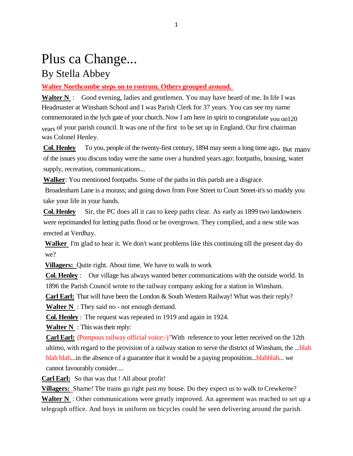# Plus ca Change...

# By Stella Abbey

## **Walter Northcombe steps on to rostrum. Others grouped around.**

**Walter N** : Good evening, ladies and gentlemen. You may have heard of me. In life I was Headmaster at Winsham School and I was Parish Clerk for 37 years. You can see my name commemorated in the lych gate of your church. Now I am here in spirit to congratulate <sub>you on</sub>120 years of your parish council. It was one of the first to be set up in England. Our first chairman was Colonel Henley.

**Col. Henley** To you, people of the twenty-first century, 1894 may seem a long time ago. But many of the issues you discuss today were the same over a hundred years ago: footpaths, housing, water supply, recreation, communications...

**Walker**: You mentioned footpaths. Some of the paths in this parish are a disgrace.

Broadenham Lane is a morass; and going down from Fore Street to Court Street-it's so muddy you take your life in your hands.

**Col. Henley** Sir, the PC does all it can to keep paths clear. As early as 1899 two landowners were reprimanded for letting paths flood or be overgrown. They complied, and a new stile was erected at Verdhay.

**Walker** I'm glad to hear it. We don't want problems like this continuing till the present day do we?

**Villagers:** Quite right. About time. We have to walk to work

**Col. Henley** : Our village has always wanted better communications with the outside world. In 1896 the Parish Council wrote to the railway company asking for a station in Winsham.

**Carl Earl:** That will have been the London & South Western Railway! What was their reply?

**Walter N** : They said no - not enough demand.

**Col. Henley** : The request was repeated in 1919 and again in 1924.

**Walter N** : This was their reply:

**Carl Earl:** (Pompous railway official voice:-)"With reference to your letter received on the 12th ultimo, with regard to the provision of a railway station to serve the district of Winsham, the ...blah blah blah...in the absence of a guarantee that it would be a paying proposition...blahblah... we cannot favourably consider....

**Carl Earl:** So that was that ! All about profit!

**Villagers:** Shame! The trains go right past my house. Do they expect us to walk to Crewkerne? **Walter N** : Other communications were greatly improved. An agreement was reached to set up a telegraph office. And boys in uniform on bicycles could be seen delivering around the parish.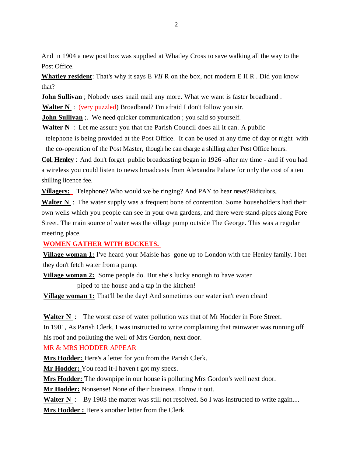And in 1904 a new post box was supplied at Whatley Cross to save walking all the way to the Post Office.

**Whatley resident**: That's why it says E *VII* R on the box, not modern E II R . Did you know that?

**John Sullivan** ; Nobody uses snail mail any more. What we want is faster broadband.

**Walter N** : (very puzzled) Broadband? I'm afraid I don't follow you sir.

**John Sullivan** :. We need quicker communication ; you said so yourself.

**Walter N** : Let me assure you that the Parish Council does all it can. A public

telephone is being provided at the Post Office. It can be used at any time of day or night with the co-operation of the Post Master, though he can charge a shilling after Post Office hours.

**Col. Henley** : And don't forget public broadcasting began in 1926 -after my time - and if you had a wireless you could listen to news broadcasts from Alexandra Palace for only the cost of a ten shilling licence fee.

**Villagers:** Telephone? Who would we be ringing? And PAY to hear news? Ridiculous..

**Walter N** : The water supply was a frequent bone of contention. Some householders had their own wells which you people can see in your own gardens, and there were stand-pipes along Fore Street. The main source of water was the village pump outside The George. This was a regular meeting place.

#### **WOMEN GATHER WITH BUCKETS.**

**Village woman 1:** I've heard your Maisie has gone up to London with the Henley family. I bet they don't fetch water from a pump.

**Village woman 2:** Some people do. But she's lucky enough to have water piped to the house and a tap in the kitchen!

**Village woman 1:** That'll be the day! And sometimes our water isn't even clean!

**Walter N** : The worst case of water pollution was that of Mr Hodder in Fore Street.

In 1901, As Parish Clerk, I was instructed to write complaining that rainwater was running off his roof and polluting the well of Mrs Gordon, next door.

#### MR & MRS HODDER APPEAR

**Mrs Hodder:** Here's a letter for you from the Parish Clerk.

**Mr Hodder:** You read it-I haven't got my specs.

**Mrs Hodder:** The downpipe in our house is polluting Mrs Gordon's well next door.

**Mr Hodder:** Nonsense! None of their business. Throw it out.

**Walter N** : By 1903 the matter was still not resolved. So I was instructed to write again....

**Mrs Hodder :** Here's another letter from the Clerk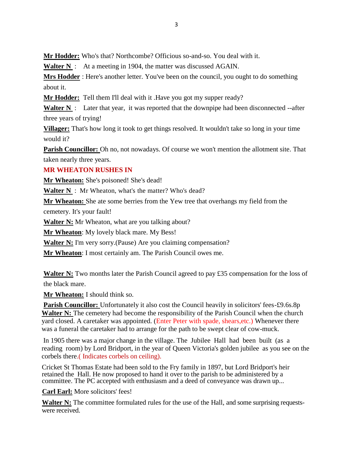**Mr Hodder:** Who's that? Northcombe? Officious so-and-so. You deal with it.

**Walter N** : At a meeting in 1904, the matter was discussed AGAIN.

**Mrs Hodder** : Here's another letter. You've been on the council, you ought to do something about it.

**Mr Hodder:** Tell them I'll deal with it .Have you got my supper ready?

Walter N : Later that year, it was reported that the downpipe had been disconnected --after three years of trying!

**Villager:** That's how long it took to get things resolved. It wouldn't take so long in your time would it?

**Parish Councillor:** Oh no, not nowadays. Of course we won't mention the allotment site. That taken nearly three years.

## **MR WHEATON RUSHES IN**

**Mr Wheaton:** She's poisoned! She's dead!

**Walter N** : Mr Wheaton, what's the matter? Who's dead?

**Mr Wheaton:** She ate some berries from the Yew tree that overhangs my field from the cemetery. It's your fault!

**Walter N:** Mr Wheaton, what are you talking about?

**Mr Wheaton**: My lovely black mare. My Bess!

**Walter N:** I'm very sorry. (Pause) Are you claiming compensation?

**Mr Wheaton**: I most certainly am. The Parish Council owes me.

**Walter N:** Two months later the Parish Council agreed to pay £35 compensation for the loss of the black mare.

**Mr Wheaton:** I should think so.

**Parish Councillor:** Unfortunately it also cost the Council heavily in solicitors' fees-£9.6s.8p Walter N: The cemetery had become the responsibility of the Parish Council when the church yard closed. A caretaker was appointed. (Enter Peter with spade, shears,etc.) Whenever there was a funeral the caretaker had to arrange for the path to be swept clear of cow-muck.

In 1905 there was a major change in the village. The Jubilee Hall had been built (as a reading room) by Lord Bridport, in the year of Queen Victoria's golden jubilee as you see on the corbels there.( Indicates corbels on ceiling).

Cricket St Thomas Estate had been sold to the Fry family in 1897, but Lord Bridport's heir retained the Hall. He now proposed to hand it over to the parish to be administered by a committee. The PC accepted with enthusiasm and a deed of conveyance was drawn up...

**Carl Earl:** More solicitors' fees!

**Walter N:** The committee formulated rules for the use of the Hall, and some surprising requestswere received.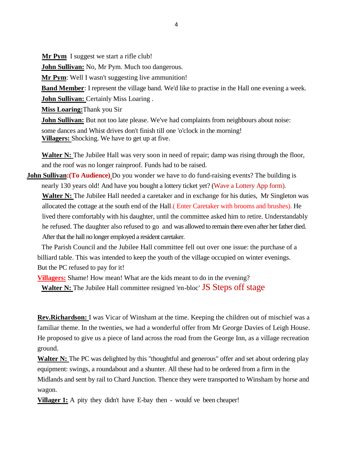**Mr Pym** I suggest we start a rifle club!

**John Sullivan:** No, Mr Pym. Much too dangerous.

**Mr Pym:** Well I wasn't suggesting live ammunition!

**Band Member**: I represent the village band. We'd like to practise in the Hall one evening a week. **John Sullivan:** Certainly Miss Loaring .

**Miss Loaring:**Thank you Sir

**John Sullivan:** But not too late please. We've had complaints from neighbours about noise: some dances and Whist drives don't finish till one 'o'clock in the morning! **Villagers:** Shocking. We have to get up at five.

Walter N: The Jubilee Hall was very soon in need of repair; damp was rising through the floor, and the roof was no longer rainproof. Funds had to be raised.

**John Sullivan:** (To Audience) Do you wonder we have to do fund-raising events? The building is nearly 130 years old! And have you bought a lottery ticket yet? (Wave a Lottery App form). **Walter N:** The Jubilee Hall needed a caretaker and in exchange for his duties, Mr Singleton was allocated the cottage at the south end of the Hall.( Enter Caretaker with brooms and brushes). He lived there comfortably with his daughter, until the committee asked him to retire. Understandably he refused. The daughter also refused to go and was allowed to remain there even after her father died. After that the hall no longer employed a resident caretaker.

The Parish Council and the Jubilee Hall committee fell out over one issue: the purchase of a billiard table. This was intended to keep the youth of the village occupied on winter evenings. But the PC refused to pay for it!

**Villagers:** Shame! How mean! What are the kids meant to do in the evening? **Walter N:** The Jubilee Hall committee resigned 'en-bloc' **JS** Steps off stage

**Rev.Richardson:** I was Vicar of Winsham at the time. Keeping the children out of mischief was a familiar theme. In the twenties, we had a wonderful offer from Mr George Davies of Leigh House. He proposed to give us a piece of land across the road from the George Inn, as a village recreation ground.

**Walter N:** The PC was delighted by this "thoughtful and generous" offer and set about ordering play equipment: swings, a roundabout and a shunter. All these had to be ordered from a firm in the Midlands and sent by rail to Chard Junction. Thence they were transported to Winsham by horse and wagon.

**Villager 1:** A pity they didn't have E-bay then - would ve been cheaper!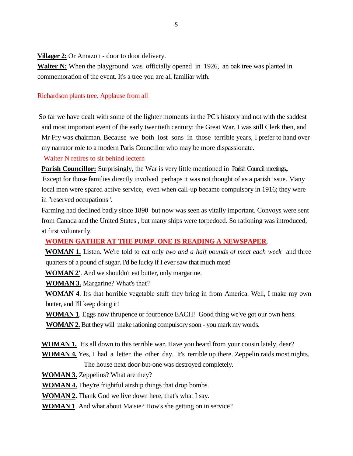**Villager 2:** Or Amazon - door to door delivery.

**Walter N:** When the playground was officially opened in 1926, an oak tree was planted in commemoration of the event. It's a tree you are all familiar with.

#### Richardson plants tree. Applause from all

 So far we have dealt with some of the lighter moments in the PC's history and not with the saddest and most important event of the early twentieth century: the Great War. I was still Clerk then, and Mr Fry was chairman. Because we both lost sons in those terrible years, I prefer to hand over my narrator role to a modern Paris Councillor who may be more dispassionate.

#### Walter N retires to sit behind lectern

**Parish Councillor:** Surprisingly, the War is very little mentioned in Parish Council meetings,.

Except for those families directly involved perhaps it was not thought of as a parish issue. Many local men were spared active service, even when call-up became compulsory in 1916; they were in "reserved occupations".

Farming had declined badly since 1890 but now was seen as vitally important. Convoys were sent from Canada and the United States , but many ships were torpedoed. So rationing was introduced, at first voluntarily.

#### **WOMEN GATHER AT THE PUMP. ONE IS READING A NEWSPAPER**.

**WOMAN 1.** Listen. We're told to eat only *two and a half pounds of meat each week* and three quarters of a pound of sugar. I'd be lucky if I ever saw that much meat!

**WOMAN 2'**. And we shouldn't eat butter, only margarine.

**WOMAN 3.** Margarine? What's that?

**WOMAN 4**. It's that horrible vegetable stuff they bring in from America. Well, I make my own butter, and I'll keep doing it!

**WOMAN 1**. Eggs now thrupence or fourpence EACH! Good thing we've got our own hens.

**WOMAN 2.** But they will make rationing compulsory soon - you mark my words.

**WOMAN 1.** It's all down to this terrible war. Have you heard from your cousin lately, dear?

**WOMAN 4.** Yes, I had a letter the other day. It's terrible up there. Zeppelin raids most nights. The house next door-but-one was destroyed completely.

**WOMAN 3.** Zeppelins? What are they?

**WOMAN 4.** They're frightful airship things that drop bombs.

**WOMAN 2.** Thank God we live down here, that's what I say.

**WOMAN 1**. And what about Maisie? How's she getting on in service?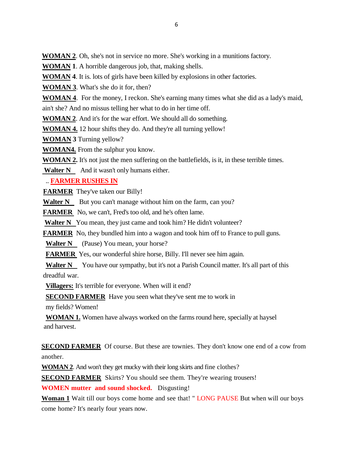**WOMAN 2**. Oh, she's not in service no more. She's working in a munitions factory.

**WOMAN 1**. A horrible dangerous job, that, making shells.

**WOMAN 4**. It is. lots of girls have been killed by explosions in other factories.

**WOMAN 3**. What's she do it for, then?

**WOMAN 4**. For the money, I reckon. She's earning many times what she did as a lady's maid, ain't she? And no missus telling her what to do in her time off.

**WOMAN 2**. And it's for the war effort. We should all do something.

**WOMAN 4.** 12 hour shifts they do. And they're all turning yellow!

**WOMAN 3** Turning yellow?

**WOMAN4.** From the sulphur you know.

**WOMAN 2.** It's not just the men suffering on the battlefields, is it, in these terrible times.

**Walter N** And it wasn't only humans either.

.. **FARMER RUSHES IN**

**FARMER** They've taken our Billy!

**Walter N** But you can't manage without him on the farm, can you?

**FARMER** No, we can't, Fred's too old, and he's often lame.

**Walter N** You mean, they just came and took him? He didn't volunteer?

**FARMER** No, they bundled him into a wagon and took him off to France to pull guns.

**Walter N** (Pause) You mean, your horse?

**FARMER** Yes, our wonderful shire horse, Billy. I'll never see him again.

**Walter N** You have our sympathy, but it's not a Parish Council matter. It's all part of this dreadful war.

**Villagers:** It's terrible for everyone. When will it end?

**SECOND FARMER** Have you seen what they've sent me to work in

my fields? Women!

**WOMAN 1.** Women have always worked on the farms round here, specially at haysel and harvest.

**SECOND FARMER** Of course. But these are townies. They don't know one end of a cow from another.

**WOMAN 2**. And won't they get mucky with their long skirts and fine clothes?

**SECOND FARMER** Skirts? You should see them. They're wearing trousers!

**WOMEN mutter and sound shocked.** Disgusting!

**Woman 1** Wait till our boys come home and see that! " LONG PAUSE But when will our boys come home? It's nearly four years now.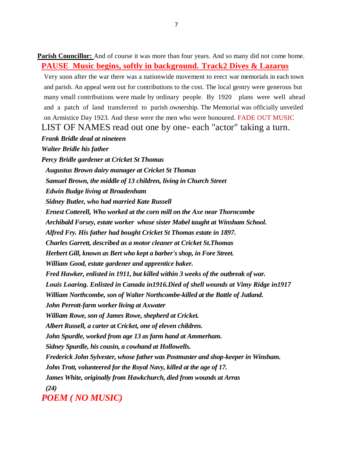**Parish Councillor:** And of course it was more than four years. And so many did not come home. **PAUSE Music begins, softly in background. Track2 Dives & Lazarus**

Very soon after the war there was a nationwide movement to erect war memorials in each town and parish. An appeal went out for contributions to the cost. The local gentry were generous but many small contributions were made by ordinary people. By 1920 plans were well ahead and a patch of land transferred to parish ownership. The Memorial was officially unveiled on Armistice Day 1923. And these were the men who were honoured. FADE OUT MUSIC

LIST OF NAMES read out one by one- each "actor" taking a turn.

#### *Frank Bridle dead at nineteen*

*Walter Bridle his father*

*Percy Bridle gardener at Cricket St Thomas Augustus Brown dairy manager at Cricket St Thomas Samuel Brown, the middle of 13 children, living in Church Street Edwin Budge living at Broadenham Sidney Butler, who had married Kate Russell Ernest Cotterell, Who worked at the corn mill on the Axe near Thorncombe Archibald Forsey, estate worker whose sister Mabel taught at Winsham School. Alfred Fry. His father had bought Cricket St Thomas estate in 1897. Charles Garrett, described as a motor cleaner at Cricket St.Thomas Herbert Gill, known as Bert who kept a barber's shop, in Fore Street. William Good, estate gardener and apprentice baker. Fred Hawker, enlisted in 1911, but killed within 3 weeks of the outbreak of war. Louis Loaring. Enlisted in Canada in1916.Died of shell wounds at Vimy Ridge in1917 William Northcombe, son of Walter Northcombe-killed at the Battle of Jutland. John Perrott-farm worker living at Axwater William Rowe, son of James Rowe, shepherd at Cricket. Albert Russell, a carter at Cricket, one of eleven children. John Spurdle, worked from age 13 as farm hand at Ammerham. Sidney Spurdle, his cousin, a cowhand at Hollowells. Frederick John Sylvester, whose father was Postmaster and shop-keeper in Winsham. John Trott, volunteered for the Royal Navy, killed at the age of 17. James White, originally from Hawkchurch, died from wounds at Arras (24) POEM ( NO MUSIC)*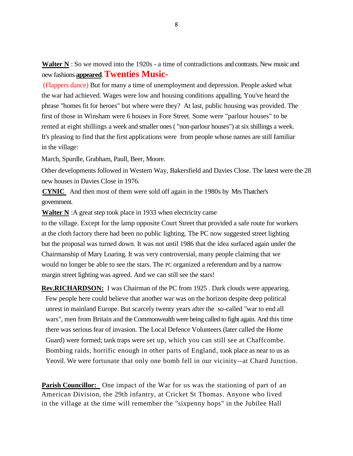**Walter N** : So we moved into the 1920s - a time of contradictions and contrasts. New music and new fashions **appeared**. **Twenties Music-**

(Flappers dance) But for many a time of unemployment and depression. People asked what the war had achieved. Wages were low and housing conditions appalling. You've heard the phrase "homes fit for heroes" but where were they? At last, public housing was provided. The first of those in Winsham were 6 houses in Fore Street. Some were "parlour houses" to be rented at eight shillings a week and smaller ones ( "non-parlour houses") at six shillings a week. It's pleasing to find that the first applications were from people whose names are still familiar in the village:

March, Spurdle, Grabham, Paull, Beer, Moore.

Other developments followed in Western Way, Bakersfield and Davies Close. The latest were the 28 new houses in Davies Close in 1976.

**CYNIC** And then most of them were sold off again in the 1980s by Mrs Thatcher's government.

**Walter N** :A great step took place in 1933 when electricity came

to the village. Except for the lamp opposite Court Street that provided a safe route for workers at the cloth factory there had been no public lighting. The PC now suggested street lighting but the proposal was turned down. It was not until 1986 that the idea surfaced again under the Chairmanship of Mary Loaring. It was very controversial, many people claiming that we would no longer be able to see the stars. The PC organized a referendum and by a narrow margin street lighting was agreed. And we can still see the stars!

**Rev.RICHARDSON:** I was Chairman of the PC from 1925 . Dark clouds were appearing. Few people here could believe that another war was on the horizon despite deep political unrest in mainland Europe. But scarcely twenty years after the so-called "war to end all wars", men from Britain and the Commonwealth were being called to fight again. And this time there was serious fear of invasion. The Local Defence Volunteers (later called the Home Guard) were formed; tank traps were set up, which you can still see at Chaffcombe. Bombing raids, horrific enough in other parts of England, took place as near to us as Yeovil. We were fortunate that only one bomb fell in our vicinity--at Chard Junction.

**Parish Councillor:** One impact of the War for us was the stationing of part of an American Division, the 29th infantry, at Cricket St Thomas. Anyone who lived in the village at the time will remember the "sixpenny hops" in the Jubilee Hall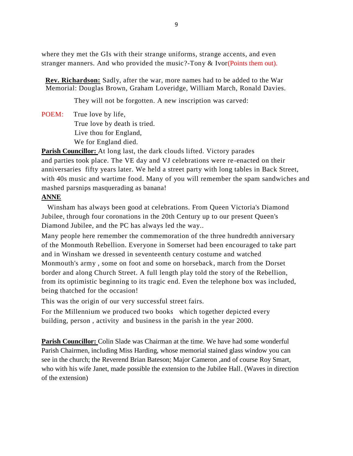where they met the GIs with their strange uniforms, strange accents, and even stranger manners. And who provided the music?-Tony & Ivor(Points them out).

 **Rev. Richardson:** Sadly, after the war, more names had to be added to the War Memorial: Douglas Brown, Graham Loveridge, William March, Ronald Davies.

They will not be forgotten. A new inscription was carved:

POEM: True love by life, True love by death is tried. Live thou for England, We for England died.

**Parish Councillor:** At long last, the dark clouds lifted. Victory parades and parties took place. The VE day and VJ celebrations were re-enacted on their anniversaries fifty years later. We held a street party with long tables in Back Street, with 40s music and wartime food. Many of you will remember the spam sandwiches and mashed parsnips masquerading as banana!

## **ANNE**

 Winsham has always been good at celebrations. From Queen Victoria's Diamond Jubilee, through four coronations in the 20th Century up to our present Queen's Diamond Jubilee, and the PC has always led the way..

Many people here remember the commemoration of the three hundredth anniversary of the Monmouth Rebellion. Everyone in Somerset had been encouraged to take part and in Winsham we dressed in seventeenth century costume and watched Monmouth's army , some on foot and some on horseback, march from the Dorset border and along Church Street. A full length play told the story of the Rebellion, from its optimistic beginning to its tragic end. Even the telephone box was included, being thatched for the occasion!

This was the origin of our very successful street fairs.

For the Millennium we produced two books which together depicted every building, person , activity and business in the parish in the year 2000.

**Parish Councillor:** Colin Slade was Chairman at the time. We have had some wonderful Parish Chairmen, including Miss Harding, whose memorial stained glass window you can see in the church; the Reverend Brian Bateson; Major Cameron ,and of course Roy Smart, who with his wife Janet, made possible the extension to the Jubilee Hall. (Waves in direction of the extension)